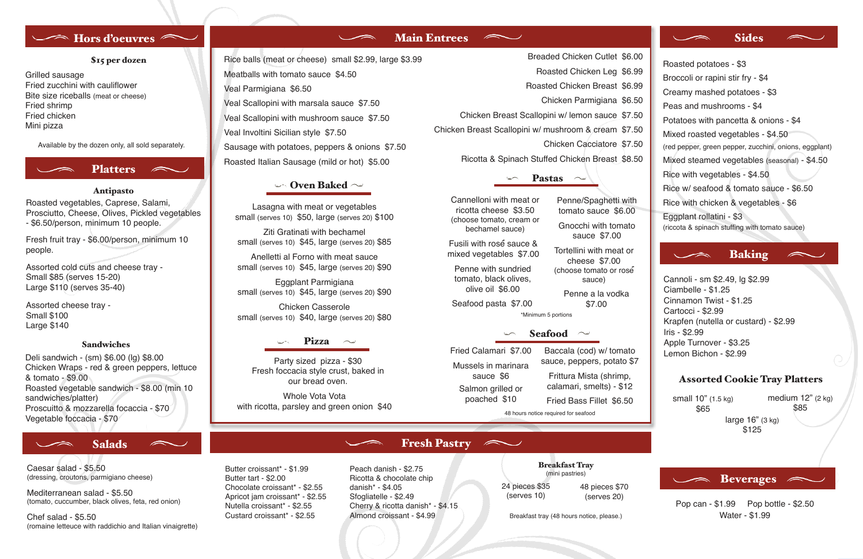

Roasted vegetables, Caprese, Salami, Prosciutto, Cheese, Olives, Pickled vegetables - \$6.50/person, minimum 10 people.

### Antipasto

Fresh fruit tray - \$6.00/person, minimum 10 people.

Assorted cold cuts and cheese tray - Small \$85 (serves 15-20) Large \$110 (serves 35-40)

Assorted cheese tray - Small \$100 Large \$140

## Sandwiches

# Rice balls (meat or cheese) small \$2.99, large \$3.99 Meatballs with tomato sauce \$4.50 Veal Parmigiana \$6.50 Veal Scallopini with marsala sauce \$7.50 Veal Scallopini with mushroom sauce \$7.50 Veal Involtini Sicilian style \$7.50 Sausage with potatoes, peppers & onions \$7.50 Roasted Italian Sausage (mild or hot) \$5.00 Ricotta & Spinach Stuffed Chicken Breast \$8.50

# $\sim$  Oven Baked  $\sim$

Deli sandwich - (sm) \$6.00 (lg) \$8.00 Chicken Wraps - red & green peppers, lettuce & tomato - \$9.00 Roasted vegetable sandwich - \$8.00 (min 10 sandwiches/platter) Proscuitto & mozzarella focaccia - \$70 Vegetable foccacia - \$70



Grilled sausage Fried zucchini with cauliflower Bite size riceballs (meat or cheese) Fried shrimp Fried chicken Mini pizza

# \$15 per dozen

Available by the dozen only, all sold separately.

Breaded Chicken Cutlet \$6.00

Roasted Chicken Leg \$6.99

Roasted Chicken Breast \$6.99

- Chicken Parmigiana \$6.50
- Chicken Breast Scallopini w/ lemon sauce \$7.50

Chicken Breast Scallopini w/ mushroom & cream \$7.50

Chicken Cacciatore \$7.50

## **Pastas**  $\sim$

# Seafood

Lasagna with meat or vegetables small (serves 10) \$50, large (serves 20) \$100

Ziti Gratinati with bechamel small (serves 10) \$45, large (serves 20) \$85

Anelletti al Forno with meat sauce small (serves 10) \$45, large (serves 20) \$90

Eggplant Parmigiana small (serves 10) \$45, large (serves 20) \$90

> medium  $12$ " (2 kg) \$85

Fried Bass Fillet \$6.50

Fried Calamari \$7.00 sauce \$6 Salmon grilled or poached \$10

Baccala (cod) w/ tomato sauce, peppers, potato \$7 Mussels in marinara

Chicken Casserole small (serves 10) \$40, large (serves 20) \$80

## Pizza  $\sim$

Cannelloni with meat or ricotta cheese \$3.50 (choose tomato, cream or bechamel sauce)

Penne/Spaghetti with tomato sauce \$6.00

\$7.00

Gnocchi with tomato sauce \$7.00

Tortellini with meat or cheese \$7.00 (choose tomato or rose Fusili with rosé sauce & mixed vegetables \$7.00

Penne a la vodka tomato, black olives, olive oil \$6.00

sauce)

Penne with sundried

Party sized pizza - \$30 Fresh foccacia style crust, baked in our bread oven.

Seafood pasta \$7.00 \*Minimum 5 portions

> Frittura Mista (shrimp, calamari, smelts) - \$12

48 hours notice required for seafood

Whole Vota Vota with ricotta, parsley and green onion \$40

Butter croissant\* - \$1.99

Butter tart - \$2.00

# Main Entrees <u>Number</u>

 $\sim$ 

Chocolate croissant\* - \$2.55 Apricot jam croissant\* - \$2.55 Nutella croissant\* - \$2.55 Custard croissant\* - \$2.55

Peach danish - \$2.75 Ricotta & chocolate chip danish\* - \$4.05 Sfogliatelle - \$2.49 Cherry & ricotta danish\* - \$4.15 Almond croissant - \$4.99

 $\sim$ 

Breakfast Tray (mini pastries)

Breakfast tray (48 hours notice, please.)

Fresh Pastry

# **Sides**

 $\overline{\phantom{a}}$ 

24 pieces \$35 (serves 10)

48 pieces \$70 (serves 20)

Caesar salad - \$5.50 (dressing, croutons, parmigiano cheese)

Mediterranean salad - \$5.50 (tomato, cuccumber, black olives, feta, red onion)

Chef salad - \$5.50 (romaine letteuce with raddichio and Italian vinaigrette)

# Salads

# Baking

Ciambelle - \$1.25 Cinnamon Twist - \$1.25 Cartocci - \$2.99 Krapfen (nutella or custard) - \$2.99 Iris - \$2.99 Apple Turnover - \$3.25 Lemon Bichon - \$2.99 Cannoli - sm \$2.49, lg \$2.99

# Assorted Cookie Tray Platters

small 10" (1.5 kg) \$65

large 16" (3 kg) \$125

Beverages

Pop can - \$1.99 Pop bottle - \$2.50 Water - \$1.99

Roasted potatoes - \$3 Broccoli or rapini stir fry - \$4 Creamy mashed potatoes - \$3 Peas and mushrooms - \$4 Potatoes with pancetta & onions - \$4 Mixed roasted vegetables - \$4.50 (red pepper, green pepper, zucchini, onions, eggplant) Mixed steamed vegetables (seasonal) - \$4.50 Rice with vegetables - \$4.50 Rice w/ seafood & tomato sauce - \$6.50 Rice with chicken & vegetables - \$6 Eggplant rollatini - \$3 (riccota & spinach stuffing with tomato sauce)